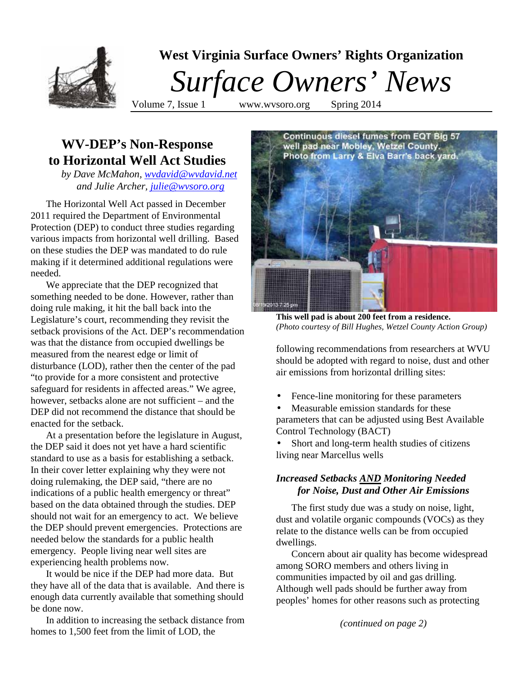

# **WV-DEP's Non-Response to Horizontal Well Act Studies**

*by Dave McMahon, [wvdavid@wvdavid.net](mailto:wvdavid@wvdavid.net) and Julie Archer, [julie@wvsoro.org](mailto:julie@wvsoro.org)*

The Horizontal Well Act passed in December 2011 required the Department of Environmental Protection (DEP) to conduct three studies regarding various impacts from horizontal well drilling. Based on these studies the DEP was mandated to do rule making if it determined additional regulations were needed.

We appreciate that the DEP recognized that something needed to be done. However, rather than doing rule making, it hit the ball back into the Legislature's court, recommending they revisit the setback provisions of the Act. DEP's recommendation was that the distance from occupied dwellings be measured from the nearest edge or limit of disturbance (LOD), rather then the center of the pad "to provide for a more consistent and protective safeguard for residents in affected areas." We agree, however, setbacks alone are not sufficient – and the DEP did not recommend the distance that should be enacted for the setback.

At a presentation before the legislature in August, the DEP said it does not yet have a hard scientific standard to use as a basis for establishing a setback. In their cover letter explaining why they were not doing rulemaking, the DEP said, "there are no indications of a public health emergency or threat" based on the data obtained through the studies. DEP should not wait for an emergency to act. We believe the DEP should prevent emergencies. Protections are needed below the standards for a public health emergency. People living near well sites are experiencing health problems now.

It would be nice if the DEP had more data. But they have all of the data that is available. And there is enough data currently available that something should be done now.

In addition to increasing the setback distance from homes to 1,500 feet from the limit of LOD, the



**This well pad is about 200 feet from a residence.** *(Photo courtesy of Bill Hughes, Wetzel County Action Group)*

following recommendations from researchers at WVU should be adopted with regard to noise, dust and other air emissions from horizontal drilling sites:

Fence-line monitoring for these parameters

Measurable emission standards for these parameters that can be adjusted using Best Available Control Technology (BACT)

Short and long-term health studies of citizens living near Marcellus wells

## *Increased Setbacks AND Monitoring Needed for Noise, Dust and Other Air Emissions*

The first study due was a study on noise, light, dust and volatile organic compounds (VOCs) as they relate to the distance wells can be from occupied dwellings.

Concern about air quality has become widespread among SORO members and others living in communities impacted by oil and gas drilling. Although well pads should be further away from peoples' homes for other reasons such as protecting

*(continued on page 2)*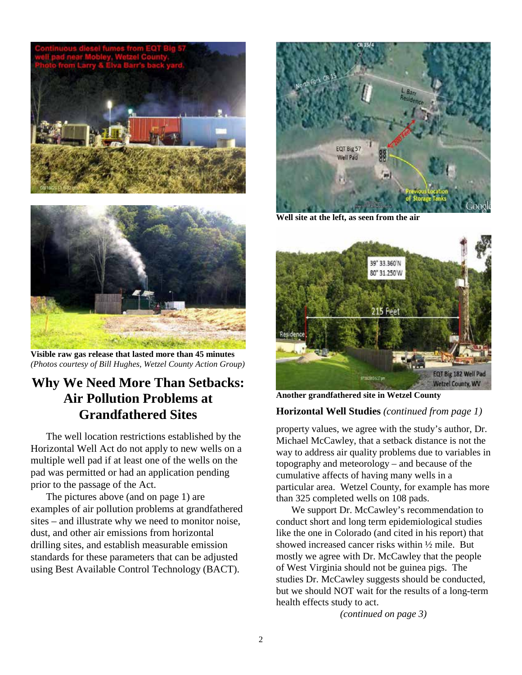

**Visible raw gas release that lasted more than 45 minutes** *(Photos courtesy of Bill Hughes, Wetzel County Action Group)*

# **Why We Need More Than Setbacks: Air Pollution Problems at Grandfathered Sites**

The well location restrictions established by the Horizontal Well Act do not apply to new wells on a multiple well pad if at least one of the wells on the pad was permitted or had an application pending prior to the passage of the Act.

The pictures above (and on page 1) are examples of air pollution problems at grandfathered sites – and illustrate why we need to monitor noise, dust, and other air emissions from horizontal drilling sites, and establish measurable emission standards for these parameters that can be adjusted using Best Available Control Technology (BACT).



**Well site at the left, as seen from the air**



**Another grandfathered site in Wetzel County** 

### **Horizontal Well Studies** *(continued from page 1)*

property values, we agree with the study's author, Dr. Michael McCawley, that a setback distance is not the way to address air quality problems due to variables in topography and meteorology – and because of the cumulative affects of having many wells in a particular area. Wetzel County, for example has more than 325 completed wells on 108 pads.

We support Dr. McCawley's recommendation to conduct short and long term epidemiological studies like the one in Colorado (and cited in his report) that showed increased cancer risks within ½ mile. But mostly we agree with Dr. McCawley that the people of West Virginia should not be guinea pigs. The studies Dr. McCawley suggests should be conducted, but we should NOT wait for the results of a long-term health effects study to act.

*(continued on page 3)*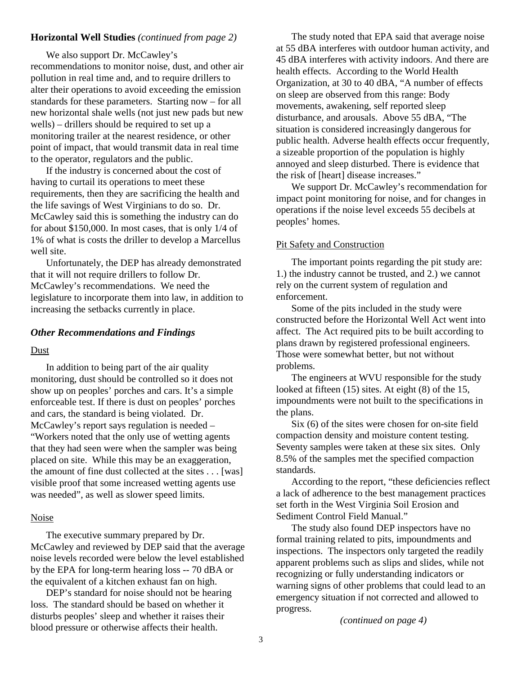### **Horizontal Well Studies** *(continued from page 2)*

We also support Dr. McCawley's recommendations to monitor noise, dust, and other air pollution in real time and, and to require drillers to alter their operations to avoid exceeding the emission standards for these parameters. Starting now – for all new horizontal shale wells (not just new pads but new wells) – drillers should be required to set up a monitoring trailer at the nearest residence, or other point of impact, that would transmit data in real time to the operator, regulators and the public.

If the industry is concerned about the cost of having to curtail its operations to meet these requirements, then they are sacrificing the health and the life savings of West Virginians to do so. Dr. McCawley said this is something the industry can do for about \$150,000. In most cases, that is only 1/4 of 1% of what is costs the driller to develop a Marcellus well site.

Unfortunately, the DEP has already demonstrated that it will not require drillers to follow Dr. McCawley's recommendations. We need the legislature to incorporate them into law, in addition to increasing the setbacks currently in place.

#### *Other Recommendations and Findings*

#### Dust

In addition to being part of the air quality monitoring, dust should be controlled so it does not show up on peoples' porches and cars. It's a simple enforceable test. If there is dust on peoples' porches and cars, the standard is being violated. Dr. McCawley's report says regulation is needed – "Workers noted that the only use of wetting agents that they had seen were when the sampler was being placed on site. While this may be an exaggeration, the amount of fine dust collected at the sites . . . [was] visible proof that some increased wetting agents use was needed", as well as slower speed limits.

#### Noise

The executive summary prepared by Dr. McCawley and reviewed by DEP said that the average noise levels recorded were below the level established by the EPA for long-term hearing loss -- 70 dBA or the equivalent of a kitchen exhaust fan on high.

DEP's standard for noise should not be hearing loss. The standard should be based on whether it disturbs peoples' sleep and whether it raises their blood pressure or otherwise affects their health.

The study noted that EPA said that average noise at 55 dBA interferes with outdoor human activity, and 45 dBA interferes with activity indoors. And there are health effects. According to the World Health Organization, at 30 to 40 dBA, "A number of effects on sleep are observed from this range: Body movements, awakening, self reported sleep disturbance, and arousals. Above 55 dBA, "The situation is considered increasingly dangerous for public health. Adverse health effects occur frequently, a sizeable proportion of the population is highly annoyed and sleep disturbed. There is evidence that the risk of [heart] disease increases."

We support Dr. McCawley's recommendation for impact point monitoring for noise, and for changes in operations if the noise level exceeds 55 decibels at peoples' homes.

#### Pit Safety and Construction

The important points regarding the pit study are: 1.) the industry cannot be trusted, and 2.) we cannot rely on the current system of regulation and enforcement.

Some of the pits included in the study were constructed before the Horizontal Well Act went into affect. The Act required pits to be built according to plans drawn by registered professional engineers. Those were somewhat better, but not without problems.

The engineers at WVU responsible for the study looked at fifteen (15) sites. At eight (8) of the 15, impoundments were not built to the specifications in the plans.

Six (6) of the sites were chosen for on-site field compaction density and moisture content testing. Seventy samples were taken at these six sites. Only 8.5% of the samples met the specified compaction standards.

According to the report, "these deficiencies reflect a lack of adherence to the best management practices set forth in the West Virginia Soil Erosion and Sediment Control Field Manual."

The study also found DEP inspectors have no formal training related to pits, impoundments and inspections. The inspectors only targeted the readily apparent problems such as slips and slides, while not recognizing or fully understanding indicators or warning signs of other problems that could lead to an emergency situation if not corrected and allowed to progress.

*(continued on page 4)*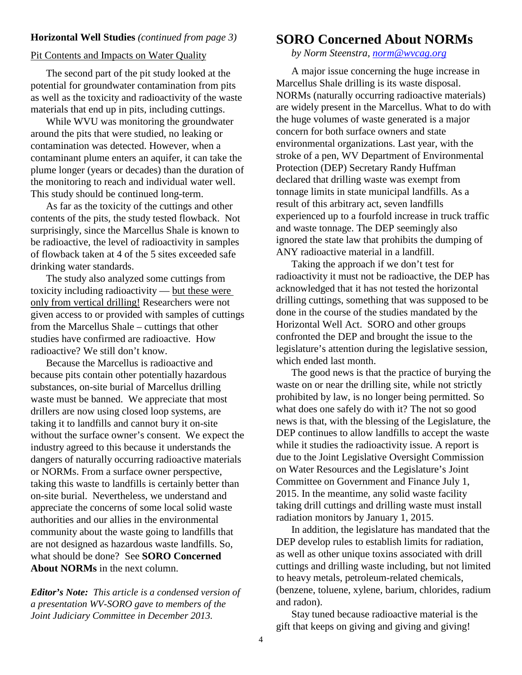### **Horizontal Well Studies** *(continued from page 3)*

### Pit Contents and Impacts on Water Quality

The second part of the pit study looked at the potential for groundwater contamination from pits as well as the toxicity and radioactivity of the waste materials that end up in pits, including cuttings.

While WVU was monitoring the groundwater around the pits that were studied, no leaking or contamination was detected. However, when a contaminant plume enters an aquifer, it can take the plume longer (years or decades) than the duration of the monitoring to reach and individual water well. This study should be continued long-term.

As far as the toxicity of the cuttings and other contents of the pits, the study tested flowback. Not surprisingly, since the Marcellus Shale is known to be radioactive, the level of radioactivity in samples of flowback taken at 4 of the 5 sites exceeded safe drinking water standards.

The study also analyzed some cuttings from toxicity including radioactivity — but these were only from vertical drilling! Researchers were not given access to or provided with samples of cuttings from the Marcellus Shale – cuttings that other studies have confirmed are radioactive. How radioactive? We still don't know.

Because the Marcellus is radioactive and because pits contain other potentially hazardous substances, on-site burial of Marcellus drilling waste must be banned. We appreciate that most drillers are now using closed loop systems, are taking it to landfills and cannot bury it on-site without the surface owner's consent. We expect the industry agreed to this because it understands the dangers of naturally occurring radioactive materials or NORMs. From a surface owner perspective, taking this waste to landfills is certainly better than on-site burial. Nevertheless, we understand and appreciate the concerns of some local solid waste authorities and our allies in the environmental community about the waste going to landfills that are not designed as hazardous waste landfills. So, what should be done? See **SORO Concerned About NORMs** in the next column.

*Editor's Note: This article is a condensed version of a presentation WV-SORO gave to members of the Joint Judiciary Committee in December 2013.* 

# **SORO Concerned About NORMs**

*by Norm Steenstra, norm@wvcag.org*

A major issue concerning the huge increase in Marcellus Shale drilling is its waste disposal. NORMs (naturally occurring radioactive materials) are widely present in the Marcellus. What to do with the huge volumes of waste generated is a major concern for both surface owners and state environmental organizations. Last year, with the stroke of a pen, WV Department of Environmental Protection (DEP) Secretary Randy Huffman declared that drilling waste was exempt from tonnage limits in state municipal landfills. As a result of this arbitrary act, seven landfills experienced up to a fourfold increase in truck traffic and waste tonnage. The DEP seemingly also ignored the state law that prohibits the dumping of ANY radioactive material in a landfill.

Taking the approach if we don't test for radioactivity it must not be radioactive, the DEP has acknowledged that it has not tested the horizontal drilling cuttings, something that was supposed to be done in the course of the studies mandated by the Horizontal Well Act. SORO and other groups confronted the DEP and brought the issue to the legislature's attention during the legislative session, which ended last month.

The good news is that the practice of burying the waste on or near the drilling site, while not strictly prohibited by law, is no longer being permitted. So what does one safely do with it? The not so good news is that, with the blessing of the Legislature, the DEP continues to allow landfills to accept the waste while it studies the radioactivity issue. A report is due to the Joint Legislative Oversight Commission on Water Resources and the Legislature's Joint Committee on Government and Finance July 1, 2015. In the meantime, any solid waste facility taking drill cuttings and drilling waste must install radiation monitors by January 1, 2015.

In addition, the legislature has mandated that the DEP develop rules to establish limits for radiation, as well as other unique toxins associated with drill cuttings and drilling waste including, but not limited to heavy metals, petroleum-related chemicals, (benzene, toluene, xylene, barium, chlorides, radium and radon).

Stay tuned because radioactive material is the gift that keeps on giving and giving and giving!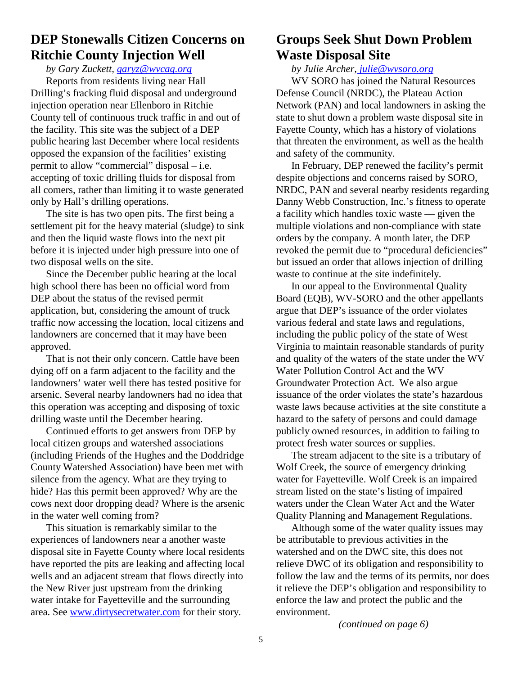# **DEP Stonewalls Citizen Concerns on Ritchie County Injection Well**

*by Gary Zuckett, garyz@wvcag.org*

Reports from residents living near Hall Drilling's fracking fluid disposal and underground injection operation near Ellenboro in Ritchie County tell of continuous truck traffic in and out of the facility. This site was the subject of a DEP public hearing last December where local residents opposed the expansion of the facilities' existing permit to allow "commercial" disposal – i.e. accepting of toxic drilling fluids for disposal from all comers, rather than limiting it to waste generated only by Hall's drilling operations.

The site is has two open pits. The first being a settlement pit for the heavy material (sludge) to sink and then the liquid waste flows into the next pit before it is injected under high pressure into one of two disposal wells on the site.

Since the December public hearing at the local high school there has been no official word from DEP about the status of the revised permit application, but, considering the amount of truck traffic now accessing the location, local citizens and landowners are concerned that it may have been approved.

That is not their only concern. Cattle have been dying off on a farm adjacent to the facility and the landowners' water well there has tested positive for arsenic. Several nearby landowners had no idea that this operation was accepting and disposing of toxic drilling waste until the December hearing.

Continued efforts to get answers from DEP by local citizen groups and watershed associations (including Friends of the Hughes and the Doddridge County Watershed Association) have been met with silence from the agency. What are they trying to hide? Has this permit been approved? Why are the cows next door dropping dead? Where is the arsenic in the water well coming from?

This situation is remarkably similar to the experiences of landowners near a another waste disposal site in Fayette County where local residents have reported the pits are leaking and affecting local wells and an adjacent stream that flows directly into the New River just upstream from the drinking water intake for Fayetteville and the surrounding area. See www.dirtysecretwater.com for their story.

# **Groups Seek Shut Down Problem Waste Disposal Site**

*by Julie Archer, julie@wvsoro.org*

WV SORO has joined the Natural Resources Defense Council (NRDC), the Plateau Action Network (PAN) and local landowners in asking the state to shut down a problem waste disposal site in Fayette County, which has a history of violations that threaten the environment, as well as the health and safety of the community.

In February, DEP renewed the facility's permit despite objections and concerns raised by SORO, NRDC, PAN and several nearby residents regarding Danny Webb Construction, Inc.'s fitness to operate a facility which handles toxic waste — given the multiple violations and non-compliance with state orders by the company. A month later, the DEP revoked the permit due to "procedural deficiencies" but issued an order that allows injection of drilling waste to continue at the site indefinitely.

In our appeal to the Environmental Quality Board (EQB), WV-SORO and the other appellants argue that DEP's issuance of the order violates various federal and state laws and regulations, including the public policy of the state of West Virginia to maintain reasonable standards of purity and quality of the waters of the state under the WV Water Pollution Control Act and the WV Groundwater Protection Act. We also argue issuance of the order violates the state's hazardous waste laws because activities at the site constitute a hazard to the safety of persons and could damage publicly owned resources, in addition to failing to protect fresh water sources or supplies.

The stream adjacent to the site is a tributary of Wolf Creek, the source of emergency drinking water for Fayetteville. Wolf Creek is an impaired stream listed on the state's listing of impaired waters under the Clean Water Act and the Water Quality Planning and Management Regulations.

Although some of the water quality issues may be attributable to previous activities in the watershed and on the DWC site, this does not relieve DWC of its obligation and responsibility to follow the law and the terms of its permits, nor does it relieve the DEP's obligation and responsibility to enforce the law and protect the public and the environment.

*(continued on page 6)*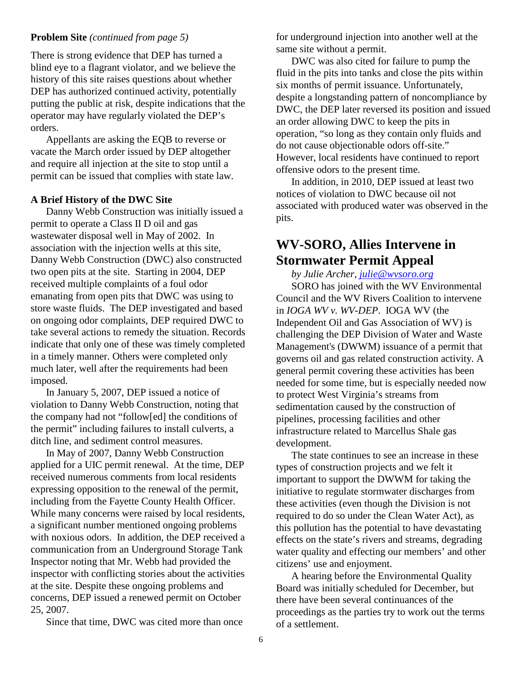### **Problem Site** *(continued from page 5)*

There is strong evidence that DEP has turned a blind eye to a flagrant violator, and we believe the history of this site raises questions about whether DEP has authorized continued activity, potentially putting the public at risk, despite indications that the operator may have regularly violated the DEP's orders.

Appellants are asking the EQB to reverse or vacate the March order issued by DEP altogether and require all injection at the site to stop until a permit can be issued that complies with state law.

## **A Brief History of the DWC Site**

Danny Webb Construction was initially issued a permit to operate a Class II D oil and gas wastewater disposal well in May of 2002. In association with the injection wells at this site, Danny Webb Construction (DWC) also constructed two open pits at the site. Starting in 2004, DEP received multiple complaints of a foul odor emanating from open pits that DWC was using to store waste fluids. The DEP investigated and based on ongoing odor complaints, DEP required DWC to take several actions to remedy the situation. Records indicate that only one of these was timely completed in a timely manner. Others were completed only much later, well after the requirements had been imposed.

In January 5, 2007, DEP issued a notice of violation to Danny Webb Construction, noting that the company had not "follow[ed] the conditions of the permit" including failures to install culverts, a ditch line, and sediment control measures.

In May of 2007, Danny Webb Construction applied for a UIC permit renewal. At the time, DEP received numerous comments from local residents expressing opposition to the renewal of the permit, including from the Fayette County Health Officer. While many concerns were raised by local residents, a significant number mentioned ongoing problems with noxious odors. In addition, the DEP received a communication from an Underground Storage Tank Inspector noting that Mr. Webb had provided the inspector with conflicting stories about the activities at the site. Despite these ongoing problems and concerns, DEP issued a renewed permit on October 25, 2007.

Since that time, DWC was cited more than once

for underground injection into another well at the same site without a permit.

DWC was also cited for failure to pump the fluid in the pits into tanks and close the pits within six months of permit issuance. Unfortunately, despite a longstanding pattern of noncompliance by DWC, the DEP later reversed its position and issued an order allowing DWC to keep the pits in operation, "so long as they contain only fluids and do not cause objectionable odors off-site." However, local residents have continued to report offensive odors to the present time.

In addition, in 2010, DEP issued at least two notices of violation to DWC because oil not associated with produced water was observed in the pits.

# **WV-SORO, Allies Intervene in Stormwater Permit Appeal**

*by Julie Archer, julie@wvsoro.org*

SORO has joined with the WV Environmental Council and the WV Rivers Coalition to intervene in *IOGA WV v. WV-DEP*. IOGA WV (the Independent Oil and Gas Association of WV) is challenging the DEP Division of Water and Waste Management's (DWWM) issuance of a permit that governs oil and gas related construction activity. A general permit covering these activities has been needed for some time, but is especially needed now to protect West Virginia's streams from sedimentation caused by the construction of pipelines, processing facilities and other infrastructure related to Marcellus Shale gas development.

The state continues to see an increase in these types of construction projects and we felt it important to support the DWWM for taking the initiative to regulate stormwater discharges from these activities (even though the Division is not required to do so under the Clean Water Act), as this pollution has the potential to have devastating effects on the state's rivers and streams, degrading water quality and effecting our members' and other citizens' use and enjoyment.

A hearing before the Environmental Quality Board was initially scheduled for December, but there have been several continuances of the proceedings as the parties try to work out the terms of a settlement.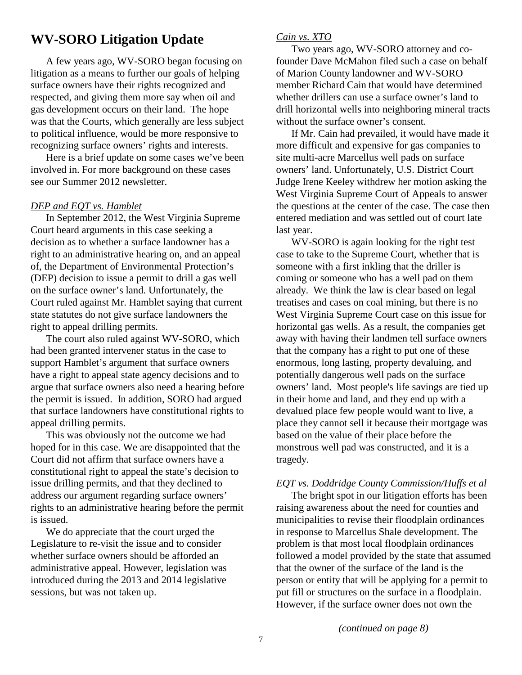# **WV-SORO Litigation Update**

A few years ago, WV-SORO began focusing on litigation as a means to further our goals of helping surface owners have their rights recognized and respected, and giving them more say when oil and gas development occurs on their land. The hope was that the Courts, which generally are less subject to political influence, would be more responsive to recognizing surface owners' rights and interests.

Here is a brief update on some cases we've been involved in. For more background on these cases see our Summer 2012 newsletter.

### *DEP and EQT vs. Hamblet*

In September 2012, the West Virginia Supreme Court heard arguments in this case seeking a decision as to whether a surface landowner has a right to an administrative hearing on, and an appeal of, the Department of Environmental Protection's (DEP) decision to issue a permit to drill a gas well on the surface owner's land. Unfortunately, the Court ruled against Mr. Hamblet saying that current state statutes do not give surface landowners the right to appeal drilling permits.

The court also ruled against WV-SORO, which had been granted intervener status in the case to support Hamblet's argument that surface owners have a right to appeal state agency decisions and to argue that surface owners also need a hearing before the permit is issued. In addition, SORO had argued that surface landowners have constitutional rights to appeal drilling permits.

This was obviously not the outcome we had hoped for in this case. We are disappointed that the Court did not affirm that surface owners have a constitutional right to appeal the state's decision to issue drilling permits, and that they declined to address our argument regarding surface owners' rights to an administrative hearing before the permit is issued.

We do appreciate that the court urged the Legislature to re-visit the issue and to consider whether surface owners should be afforded an administrative appeal. However, legislation was introduced during the 2013 and 2014 legislative sessions, but was not taken up.

### *Cain vs. XTO*

Two years ago, WV-SORO attorney and cofounder Dave McMahon filed such a case on behalf of Marion County landowner and WV-SORO member Richard Cain that would have determined whether drillers can use a surface owner's land to drill horizontal wells into neighboring mineral tracts without the surface owner's consent.

If Mr. Cain had prevailed, it would have made it more difficult and expensive for gas companies to site multi-acre Marcellus well pads on surface owners' land. Unfortunately, U.S. District Court Judge Irene Keeley withdrew her motion asking the West Virginia Supreme Court of Appeals to answer the questions at the center of the case. The case then entered mediation and was settled out of court late last year.

WV-SORO is again looking for the right test case to take to the Supreme Court, whether that is someone with a first inkling that the driller is coming or someone who has a well pad on them already. We think the law is clear based on legal treatises and cases on coal mining, but there is no West Virginia Supreme Court case on this issue for horizontal gas wells. As a result, the companies get away with having their landmen tell surface owners that the company has a right to put one of these enormous, long lasting, property devaluing, and potentially dangerous well pads on the surface owners' land. Most people's life savings are tied up in their home and land, and they end up with a devalued place few people would want to live, a place they cannot sell it because their mortgage was based on the value of their place before the monstrous well pad was constructed, and it is a tragedy.

### *EQT vs. Doddridge County Commission/Huffs et al*

The bright spot in our litigation efforts has been raising awareness about the need for counties and municipalities to revise their floodplain ordinances in response to Marcellus Shale development. The problem is that most local floodplain ordinances followed a model provided by the state that assumed that the owner of the surface of the land is the person or entity that will be applying for a permit to put fill or structures on the surface in a floodplain. However, if the surface owner does not own the

*(continued on page 8)*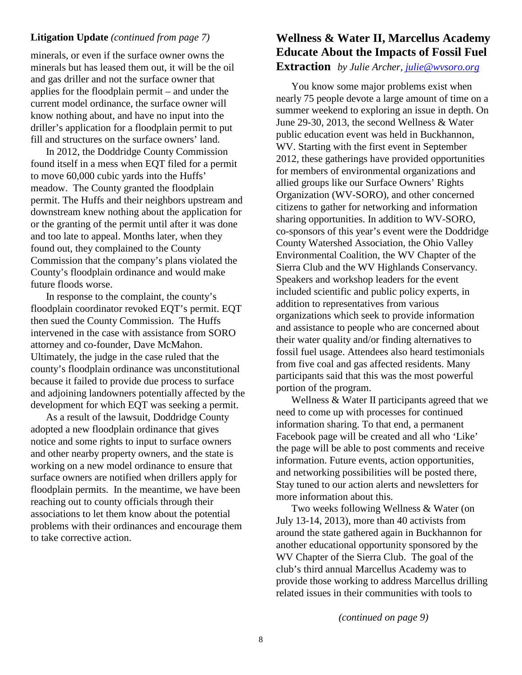### **Litigation Update** *(continued from page 7)*

minerals, or even if the surface owner owns the minerals but has leased them out, it will be the oil and gas driller and not the surface owner that applies for the floodplain permit – and under the current model ordinance, the surface owner will know nothing about, and have no input into the driller's application for a floodplain permit to put fill and structures on the surface owners' land.

In 2012, the Doddridge County Commission found itself in a mess when EQT filed for a permit to move 60,000 cubic yards into the Huffs' meadow. The County granted the floodplain permit. The Huffs and their neighbors upstream and downstream knew nothing about the application for or the granting of the permit until after it was done and too late to appeal. Months later, when they found out, they complained to the County Commission that the company's plans violated the County's floodplain ordinance and would make future floods worse.

In response to the complaint, the county's floodplain coordinator revoked EQT's permit. EQT then sued the County Commission. The Huffs intervened in the case with assistance from SORO attorney and co-founder, Dave McMahon. Ultimately, the judge in the case ruled that the county's floodplain ordinance was unconstitutional because it failed to provide due process to surface and adjoining landowners potentially affected by the development for which EQT was seeking a permit.

As a result of the lawsuit, Doddridge County adopted a new floodplain ordinance that gives notice and some rights to input to surface owners and other nearby property owners, and the state is working on a new model ordinance to ensure that surface owners are notified when drillers apply for floodplain permits. In the meantime, we have been reaching out to county officials through their associations to let them know about the potential problems with their ordinances and encourage them to take corrective action.

# **Wellness & Water II, Marcellus Academy Educate About the Impacts of Fossil Fuel Extraction** *by Julie Archer, julie@wvsoro.org*

You know some major problems exist when nearly 75 people devote a large amount of time on a summer weekend to exploring an issue in depth. On June 29-30, 2013, the second Wellness & Water public education event was held in Buckhannon, WV. Starting with the first event in September 2012, these gatherings have provided opportunities for members of environmental organizations and allied groups like our Surface Owners' Rights Organization (WV-SORO), and other concerned citizens to gather for networking and information sharing opportunities. In addition to WV-SORO, co-sponsors of this year's event were the Doddridge County Watershed Association, the Ohio Valley Environmental Coalition, the WV Chapter of the Sierra Club and the WV Highlands Conservancy. Speakers and workshop leaders for the event included scientific and public policy experts, in addition to representatives from various organizations which seek to provide information and assistance to people who are concerned about their water quality and/or finding alternatives to fossil fuel usage. Attendees also heard testimonials from five coal and gas affected residents. Many participants said that this was the most powerful portion of the program.

Wellness & Water II participants agreed that we need to come up with processes for continued information sharing. To that end, a permanent Facebook page will be created and all who 'Like' the page will be able to post comments and receive information. Future events, action opportunities, and networking possibilities will be posted there, Stay tuned to our action alerts and newsletters for more information about this.

Two weeks following Wellness & Water (on July 13-14, 2013), more than 40 activists from around the state gathered again in Buckhannon for another educational opportunity sponsored by the WV Chapter of the Sierra Club. The goal of the club's third annual Marcellus Academy was to provide those working to address Marcellus drilling related issues in their communities with tools to

*(continued on page 9)*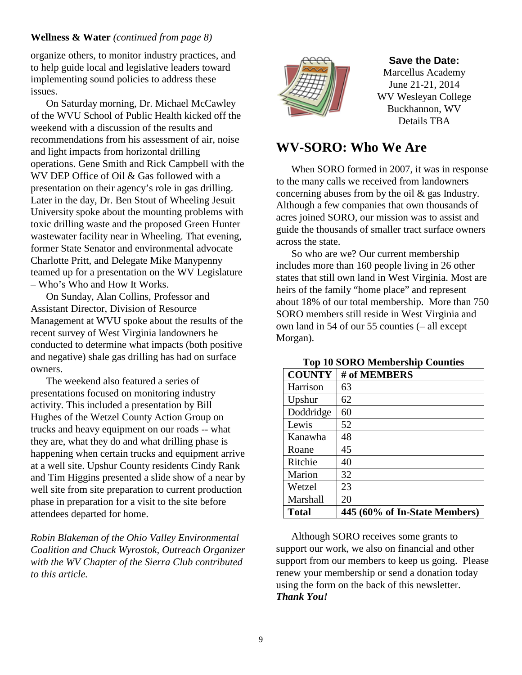## **Wellness & Water** *(continued from page 8)*

organize others, to monitor industry practices, and to help guide local and legislative leaders toward implementing sound policies to address these issues.

On Saturday morning, Dr. Michael McCawley of the WVU School of Public Health kicked off the weekend with a discussion of the results and recommendations from his assessment of air, noise and light impacts from horizontal drilling operations. Gene Smith and Rick Campbell with the WV DEP Office of Oil & Gas followed with a presentation on their agency's role in gas drilling. Later in the day, Dr. Ben Stout of Wheeling Jesuit University spoke about the mounting problems with toxic drilling waste and the proposed Green Hunter wastewater facility near in Wheeling. That evening, former State Senator and environmental advocate Charlotte Pritt, and Delegate Mike Manypenny teamed up for a presentation on the WV Legislature – Who's Who and How It Works.

On Sunday, Alan Collins, Professor and Assistant Director, Division of Resource Management at WVU spoke about the results of the recent survey of West Virginia landowners he conducted to determine what impacts (both positive and negative) shale gas drilling has had on surface owners.

The weekend also featured a series of presentations focused on monitoring industry activity. This included a presentation by Bill Hughes of the Wetzel County Action Group on trucks and heavy equipment on our roads -- what they are, what they do and what drilling phase is happening when certain trucks and equipment arrive at a well site. Upshur County residents Cindy Rank and Tim Higgins presented a slide show of a near by well site from site preparation to current production phase in preparation for a visit to the site before attendees departed for home.

*Robin Blakeman of the Ohio Valley Environmental Coalition and Chuck Wyrostok, Outreach Organizer with the WV Chapter of the Sierra Club contributed to this article.*



### **Save the Date:**

Marcellus Academy June 21-21, 2014 WV Wesleyan College Buckhannon, WV Details TBA

# **WV-SORO: Who We Are**

When SORO formed in 2007, it was in response to the many calls we received from landowners concerning abuses from by the oil & gas Industry. Although a few companies that own thousands of acres joined SORO, our mission was to assist and guide the thousands of smaller tract surface owners across the state.

So who are we? Our current membership includes more than 160 people living in 26 other states that still own land in West Virginia. Most are heirs of the family "home place" and represent about 18% of our total membership. More than 750 SORO members still reside in West Virginia and own land in 54 of our 55 counties (– all except Morgan).

| <b>COUNTY</b> | # of MEMBERS                  |
|---------------|-------------------------------|
| Harrison      | 63                            |
| Upshur        | 62                            |
| Doddridge     | 60                            |
| Lewis         | 52                            |
| Kanawha       | 48                            |
| Roane         | 45                            |
| Ritchie       | 40                            |
| Marion        | 32                            |
| Wetzel        | 23                            |
| Marshall      | 20                            |
| <b>Total</b>  | 445 (60% of In-State Members) |

# **Top 10 SORO Membership Counties**

Although SORO receives some grants to support our work, we also on financial and other support from our members to keep us going. Please renew your membership or send a donation today using the form on the back of this newsletter. *Thank You!*